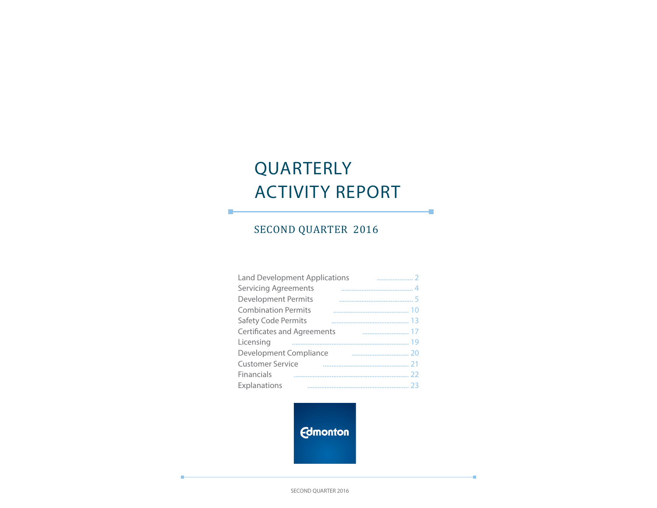# QUARTERLY ACTIVITY REPORT

÷

÷

## SECOND QUARTER 2016

П

| <b>Land Development Applications</b> |  |
|--------------------------------------|--|
| <b>Servicing Agreements</b>          |  |
| <b>Development Permits</b>           |  |
| <b>Combination Permits</b>           |  |
| <b>Safety Code Permits</b>           |  |
| <b>Certificates and Agreements</b>   |  |
| Licensing                            |  |
| Development Compliance               |  |
| <b>Customer Service</b>              |  |
| Financials                           |  |
| Explanations                         |  |

**Edmonton** 

SECOND QUARTER 2016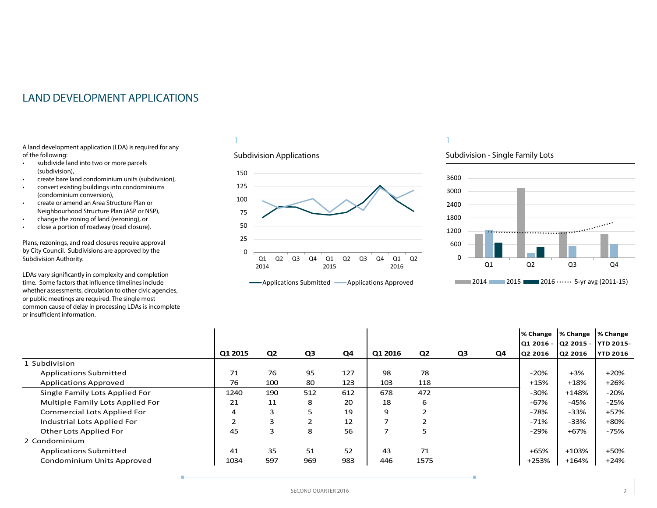## <span id="page-1-0"></span>LAND DEVELOPMENT APPLICATIONS

A land development application (LDA) is required for any of the following:

- subdivide land into two or more parcels (subdivision),
- create bare land condominium units (subdivision),
- convert existing buildings into condominiums (condominium conversion),
- create or amend an Area Structure Plan or Neighbourhood Structure Plan (ASP or NSP),
- change the zoning of land (rezoning), or
- close a portion of roadway (road closure).

Plans, rezonings, and road closures require approval by City Council. Subdivisions are approved by the Subdivision Authority.

LDAs vary significantly in complexity and completion time. Some factors that influence timelines include whether assessments, circulation to other civic agencies, or public meetings are required. The single most common cause of delay in processing LDAs is incomplete or insufficient information.

### 1

### Subdivision Applications



## 1

### Subdivision - Single Family Lots



|                                    |         |                |                |     |         |                |    |    | % Change                      | % Change | % Change        |
|------------------------------------|---------|----------------|----------------|-----|---------|----------------|----|----|-------------------------------|----------|-----------------|
|                                    |         |                |                |     |         |                |    |    | Q1 2016 - Q2 2015 - YTD 2015- |          |                 |
|                                    | Q1 2015 | Q <sub>2</sub> | Q <sub>3</sub> | Q4  | Q1 2016 | Q <sub>2</sub> | Q3 | Q4 | Q2 2016                       | Q2 2016  | <b>YTD 2016</b> |
| 1 Subdivision                      |         |                |                |     |         |                |    |    |                               |          |                 |
| <b>Applications Submitted</b>      | 71      | 76             | 95             | 127 | 98      | 78             |    |    | $-20%$                        | $+3%$    | $+20%$          |
| <b>Applications Approved</b>       | 76      | 100            | 80             | 123 | 103     | 118            |    |    | $+15%$                        | $+18%$   | $+26%$          |
| Single Family Lots Applied For     | 1240    | 190            | 512            | 612 | 678     | 472            |    |    | $-30%$                        | $+148%$  | $-20%$          |
| Multiple Family Lots Applied For   | 21      | 11             | 8              | 20  | 18      | 6              |    |    | $-67%$                        | $-45%$   | $-25%$          |
| <b>Commercial Lots Applied For</b> | 4       | 3              |                | 19  | 9       |                |    |    | $-78%$                        | $-33%$   | $+57%$          |
| Industrial Lots Applied For        |         | 3              |                | 12  |         |                |    |    | $-71%$                        | $-33%$   | $+80%$          |
| Other Lots Applied For             | 45      | 3              | 8              | 56  |         |                |    |    | $-29%$                        | $+67%$   | $-75%$          |
| 2 Condominium                      |         |                |                |     |         |                |    |    |                               |          |                 |
| <b>Applications Submitted</b>      | 41      | 35             | 51             | 52  | 43      | 71             |    |    | $+65%$                        | +103%    | +50%            |
| Condominium Units Approved         | 1034    | 597            | 969            | 983 | 446     | 1575           |    |    | +253%                         | $+164%$  | $+24%$          |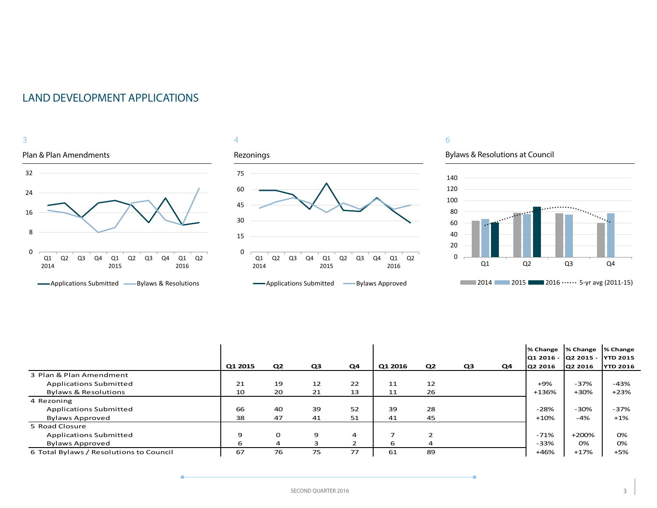## LAND DEVELOPMENT APPLICATIONS





## 6

Bylaws & Resolutions at Council

÷



|                                         |         |                |    |    |         |                |    |    | % Change % Change |                                         | % Change        |
|-----------------------------------------|---------|----------------|----|----|---------|----------------|----|----|-------------------|-----------------------------------------|-----------------|
|                                         | Q1 2015 | Q2             | Q3 | Q4 | Q1 2016 | Q <sub>2</sub> | Q3 | Q4 | Q2 2016           | Q1 2016 - Q2 2015 - YTD 2015<br>Q2 2016 | <b>YTD 2016</b> |
| 3 Plan & Plan Amendment                 |         |                |    |    |         |                |    |    |                   |                                         |                 |
| <b>Applications Submitted</b>           | 21      | 19             | 12 | 22 | 11      | 12             |    |    | $+9%$             | $-37%$                                  | -43%            |
| <b>Bylaws &amp; Resolutions</b>         | 10      | 20             | 21 | 13 | 11      | 26             |    |    | +136%             | +30%                                    | $+23%$          |
| 4 Rezoning                              |         |                |    |    |         |                |    |    |                   |                                         |                 |
| <b>Applications Submitted</b>           | 66      | 40             | 39 | 52 | 39      | 28             |    |    | $-28%$            | $-30%$                                  | $-37%$          |
| <b>Bylaws Approved</b>                  | 38      | 47             | 41 | 51 | 41      | 45             |    |    | $+10%$            | $-4%$                                   | $+1\%$          |
| 5 Road Closure                          |         |                |    |    |         |                |    |    |                   |                                         |                 |
| <b>Applications Submitted</b>           | 9       | 0              | 9  | 4  | ⇁       |                |    |    | $-71%$            | $+200%$                                 | 0%              |
| <b>Bylaws Approved</b>                  | 6       | $\overline{a}$ |    |    | 6       | 4              |    |    | -33%              | 0%                                      | 0%              |
| 6 Total Bylaws / Resolutions to Council | 67      | 76             | 75 | 77 | 61      | 89             |    |    | +46%              | $+17%$                                  | $+5%$           |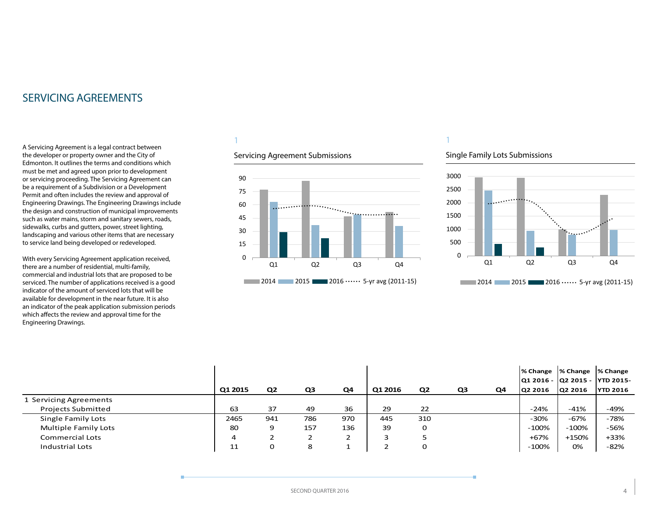## <span id="page-3-0"></span>SERVICING AGREEMENTS

A Servicing Agreement is a legal contract between the developer or property owner and the City of Edmonton. It outlines the terms and conditions which must be met and agreed upon prior to development or servicing proceeding. The Servicing Agreement can be a requirement of a Subdivision or a Development Permit and often includes the review and approval of Engineering Drawings. The Engineering Drawings include the design and construction of municipal improvements such as water mains, storm and sanitary sewers, roads, sidewalks, curbs and gutters, power, street lighting, landscaping and various other items that are necessary to service land being developed or redeveloped.

With every Servicing Agreement application received, there are a number of residential, multi-family, commercial and industrial lots that are proposed to be serviced. The number of applications received is a good indicator of the amount of serviced lots that will be available for development in the near future. It is also an indicator of the peak application submission periods which affects the review and approval time for the Engineering Drawings.

## 1

### Servicing Agreement Submissions



## Single Family Lots Submissions

1



|                           |         |                |     |     |         |                |    |    | % Change  % Change  % Change    |         |                 |
|---------------------------|---------|----------------|-----|-----|---------|----------------|----|----|---------------------------------|---------|-----------------|
|                           |         |                |     |     |         |                |    |    | Q1 2016 -  Q2 2015 -  YTD 2015- |         |                 |
|                           | Q1 2015 | Q <sub>2</sub> | Q3  | Q4  | Q1 2016 | Q <sub>2</sub> | Q3 | Q4 | <b>Q2 2016</b>                  | Q2 2016 | <b>YTD 2016</b> |
| 1 Servicing Agreements    |         |                |     |     |         |                |    |    |                                 |         |                 |
| <b>Projects Submitted</b> | 63      | 37             | 49  | 36  | 29      | 22             |    |    | $-24%$                          | -41%    | -49%            |
| Single Family Lots        | 2465    | 941            | 786 | 970 | 445     | 310            |    |    | $-30%$                          | -67%    | -78%            |
| Multiple Family Lots      | 80      | 9              | 157 | 136 | 39      | 0              |    |    | $-100%$                         | $-100%$ | -56%            |
| Commercial Lots           | 4       |                |     |     |         |                |    |    | $+67%$                          | $+150%$ | +33%            |
| Industrial Lots           | 11      | 0              | 8   |     |         | 0              |    |    | $-100%$                         | 0%      | $-82%$          |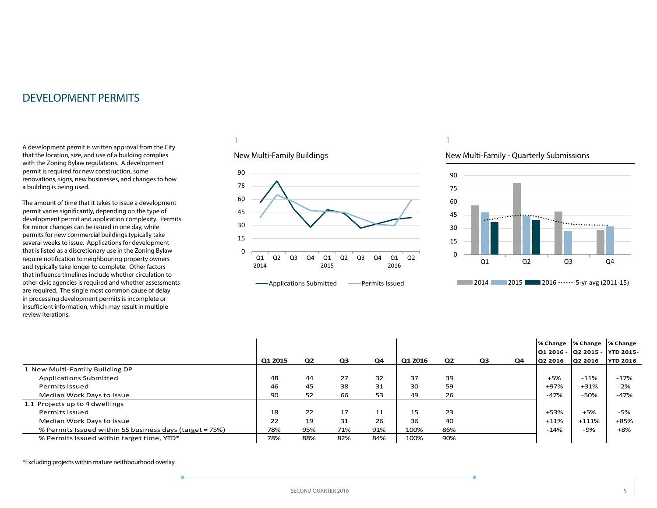<span id="page-4-0"></span>A development permit is written approval from the City that the location, size, and use of a building complies with the Zoning Bylaw regulations. A development permit is required for new construction, some renovations, signs, new businesses, and changes to how a building is being used.

The amount of time that it takes to issue a development permit varies significantly, depending on the type of development permit and application complexity. Permits for minor changes can be issued in one day, while permits for new commercial buildings typically take several weeks to issue. Applications for development that is listed as a discretionary use in the Zoning Bylaw require notification to neighbouring property owners and typically take longer to complete. Other factors that influence timelines include whether circulation to other civic agencies is required and whether assessments are required. The single most common cause of delay in processing development permits is incomplete or insufficient information, which may result in multiple review iterations.

### 1

### New Multi-Family Buildings



## 1

### New Multi-Family - Quarterly Submissions



|                                                         |         |                |     |     |         |                |                |    | % Change | % Change<br>Q1 2016 - Q2 2015 - YTD 2015- | % Change        |
|---------------------------------------------------------|---------|----------------|-----|-----|---------|----------------|----------------|----|----------|-------------------------------------------|-----------------|
|                                                         | Q1 2015 | Q <sub>2</sub> | Q3  | Q4  | Q1 2016 | Q <sub>2</sub> | Q <sub>3</sub> | Q4 | Q2 2016  | Q2 2016                                   | <b>YTD 2016</b> |
| New Multi-Family Building DP                            |         |                |     |     |         |                |                |    |          |                                           |                 |
| <b>Applications Submitted</b>                           | 48      | 44             | 27  | 32  | 37      | 39             |                |    | $+5%$    | $-11%$                                    | $-17%$          |
| Permits Issued                                          | 46      | 45             | 38  | 31  | 30      | 59             |                |    | +97%     | $+31%$                                    | $-2%$           |
| Median Work Days to Issue                               | 90      | 52             | 66  | 53  | 49      | 26             |                |    | $-47%$   | $-50%$                                    | $-47%$          |
| 1.1 Projects up to 4 dwellings                          |         |                |     |     |         |                |                |    |          |                                           |                 |
| Permits Issued                                          | 18      | 22             | 17  | 11  | 15      | 23             |                |    | $+53%$   | $+5%$                                     | $-5%$           |
| Median Work Days to Issue                               | 22      | 19             | 31  | 26  | 36      | 40             |                |    | $+11%$   | $+111\%$                                  | $+85%$          |
| % Permits Issued within 55 business days (target = 75%) | 78%     | 95%            | 71% | 91% | 100%    | 86%            |                |    | $-14%$   | -9%                                       | $+8%$           |
| % Permits Issued within target time, YTD*               | 78%     | 88%            | 82% | 84% | 100%    | 90%            |                |    |          |                                           |                 |

\*Excluding projects within mature neithbourhood overlay.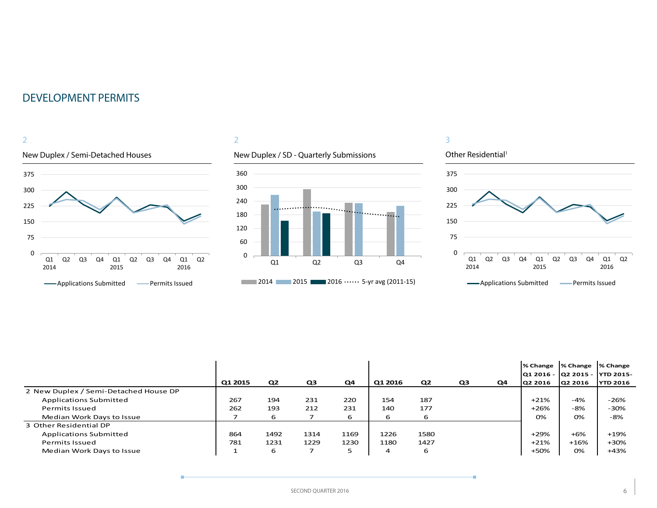

## 2

## New Duplex / SD - Quarterly Submissions



# Other Residential<sup>1</sup>

3



|                                       |         |      |                |      |         |                |                |    | % Change  % Change             |         | <b>1% Change</b> |
|---------------------------------------|---------|------|----------------|------|---------|----------------|----------------|----|--------------------------------|---------|------------------|
|                                       |         |      |                |      |         |                |                |    | 01 2016 - 02 2015 - 1YTD 2015- |         |                  |
|                                       | Q1 2015 | Q2   | Q <sub>3</sub> | Q4   | Q1 2016 | Q <sub>2</sub> | Q <sub>3</sub> | Q4 | Q2 2016                        | Q2 2016 | <b>YTD 2016</b>  |
| 2 New Duplex / Semi-Detached House DP |         |      |                |      |         |                |                |    |                                |         |                  |
| <b>Applications Submitted</b>         | 267     | 194  | 231            | 220  | 154     | 187            |                |    | $+21%$                         | $-4%$   | $-26%$           |
| Permits Issued                        | 262     | 193  | 212            | 231  | 140     | 177            |                |    | $+26%$                         | -8%     | $-30%$           |
| Median Work Days to Issue             |         | 6    |                | 6    | 6       | 6              |                |    | 0%                             | 0%      | -8%              |
| 3 Other Residential DP                |         |      |                |      |         |                |                |    |                                |         |                  |
| <b>Applications Submitted</b>         | 864     | 1492 | 1314           | 1169 | 1226    | 1580           |                |    | $+29%$                         | $+6%$   | +19%             |
| Permits Issued                        | 781     | 1231 | 1229           | 1230 | 1180    | 1427           |                |    | $+21%$                         | $+16%$  | $+30%$           |
| Median Work Days to Issue             |         | 6    |                | 5    | 4       | 6              |                |    | +50%                           | 0%      | $+43%$           |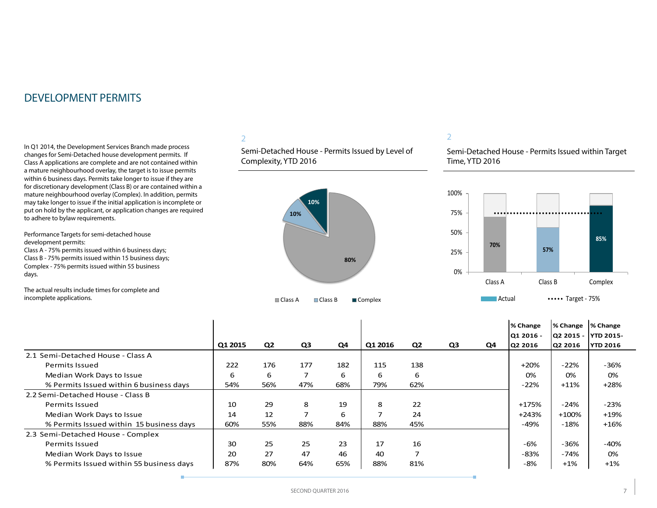In Q1 2014, the Development Services Branch made process changes for Semi-Detached house development permits. If Class A applications are complete and are not contained within a mature neighbourhood overlay, the target is to issue permits within 6 business days. Permits take longer to issue if they are for discretionary development (Class B) or are contained within a mature neighbourhood overlay (Complex). In addition, permits may take longer to issue if the initial application is incomplete or put on hold by the applicant, or application changes are required to adhere to bylaw requirements.

Performance Targets for semi-detached house development permits: Class A - 75% permits issued within 6 business days;

Class B - 75% permits issued within 15 business days; Complex - 75% permits issued within 55 business days.

The actual results include times for complete and incomplete applications.

## 2

Semi-Detached House - Permits Issued by Level of Complexity, YTD 2016



### 2

Semi-Detached House - Permits Issued within Target Time, YTD 2016



|                                          | Q1 2015 | Q <sub>2</sub> | Q3  | Q4  | Q1 2016 | Q <sub>2</sub> | Q <sub>3</sub> | Q4 | % Change<br>Q1 2016 -<br>Q2 2016 | % Change<br>O2 2015 -<br>Q2 2016 | % Change<br><b>IYTD 2015-</b><br><b>YTD 2016</b> |
|------------------------------------------|---------|----------------|-----|-----|---------|----------------|----------------|----|----------------------------------|----------------------------------|--------------------------------------------------|
| 2.1 Semi-Detached House - Class A        |         |                |     |     |         |                |                |    |                                  |                                  |                                                  |
| <b>Permits Issued</b>                    | 222     | 176            | 177 | 182 | 115     | 138            |                |    | $+20%$                           | $-22%$                           | $-36%$                                           |
| Median Work Days to Issue                | 6       | 6              | 7   | 6   | 6       | 6              |                |    | 0%                               | 0%                               | 0%                                               |
| % Permits Issued within 6 business days  | 54%     | 56%            | 47% | 68% | 79%     | 62%            |                |    | $-22%$                           | $+11%$                           | $+28%$                                           |
| 2.2 Semi-Detached House - Class B        |         |                |     |     |         |                |                |    |                                  |                                  |                                                  |
| <b>Permits Issued</b>                    | 10      | 29             | 8   | 19  | 8       | 22             |                |    | +175%                            | $-24%$                           | $-23%$                                           |
| Median Work Days to Issue                | 14      | 12             | 7   | 6   |         | 24             |                |    | $+243%$                          | $+100%$                          | $+19%$                                           |
| % Permits Issued within 15 business days | 60%     | 55%            | 88% | 84% | 88%     | 45%            |                |    | $-49%$                           | $-18%$                           | $+16%$                                           |
| 2.3 Semi-Detached House - Complex        |         |                |     |     |         |                |                |    |                                  |                                  |                                                  |
| Permits Issued                           | 30      | 25             | 25  | 23  | 17      | 16             |                |    | -6%                              | $-36%$                           | -40%                                             |
| Median Work Days to Issue                | 20      | 27             | 47  | 46  | 40      | 7              |                |    | -83%                             | -74%                             | 0%                                               |
| % Permits Issued within 55 business days | 87%     | 80%            | 64% | 65% | 88%     | 81%            |                |    | $-8%$                            | $+1%$                            | $+1%$                                            |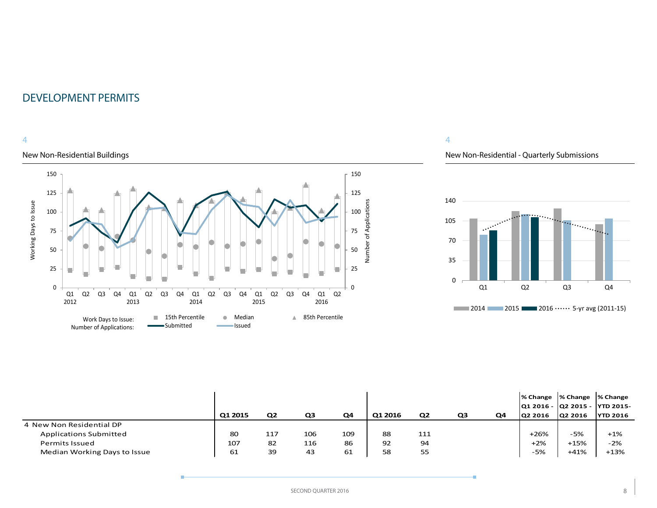## 4

## New Non-Residential Buildings



## 4

## New Non-Residential - Quarterly Submissions



|                               | Q1 2015 | Q <sub>2</sub> | Q3  | Q4  | Q1 2016 | Q2  | Q3 | Q4 | % Change  % Change  % Change<br> Q1 2016 -  Q2 2015 -  YTD 2015-<br>Q2 2016 | <b>Q2 2016</b> | <b>YTD 2016</b> |
|-------------------------------|---------|----------------|-----|-----|---------|-----|----|----|-----------------------------------------------------------------------------|----------------|-----------------|
| 4 New Non Residential DP      |         |                |     |     |         |     |    |    |                                                                             |                |                 |
| <b>Applications Submitted</b> | 80      | 117            | 106 | 109 | 88      | 111 |    |    | $+26%$                                                                      | -5%            | $+1\%$          |
| <b>Permits Issued</b>         | 107     | 82             | 116 | 86  | 92      | 94  |    |    | $+2%$                                                                       | $+15%$         | $-2%$           |
| Median Working Days to Issue  | 61      | 39             | 43  | 61  | 58      | 55  |    |    | -5%                                                                         | $+41%$         | $+13%$          |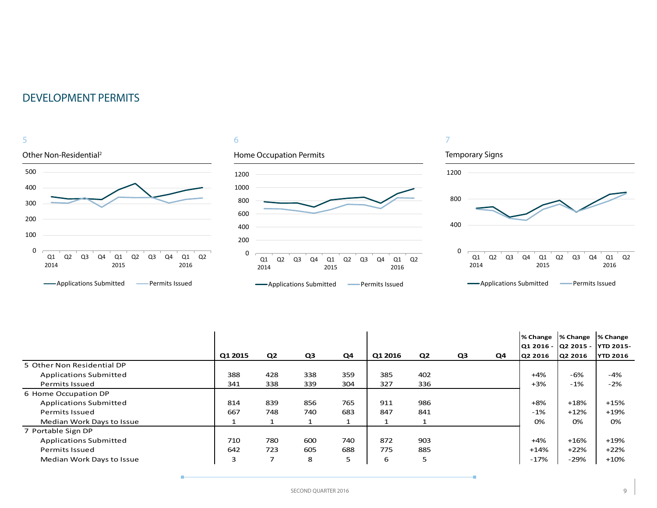

### 6





÷

|                               | Q1 2015 | Q <sub>2</sub> | Q3  | Q4  | Q1 2016 | Q <sub>2</sub> | Q3 | Q4 | % Change<br>Q1 2016 - Q2 2015 - YTD 2015-<br>Q2 2016 | % Change<br>Q2 2016 | % Change<br><b>YTD 2016</b> |
|-------------------------------|---------|----------------|-----|-----|---------|----------------|----|----|------------------------------------------------------|---------------------|-----------------------------|
| 5 Other Non Residential DP    |         |                |     |     |         |                |    |    |                                                      |                     |                             |
| <b>Applications Submitted</b> | 388     | 428            | 338 | 359 | 385     | 402            |    |    | $+4%$                                                | -6%                 | -4%                         |
| Permits Issued                | 341     | 338            | 339 | 304 | 327     | 336            |    |    | $+3%$                                                | $-1%$               | $-2%$                       |
| 6 Home Occupation DP          |         |                |     |     |         |                |    |    |                                                      |                     |                             |
| <b>Applications Submitted</b> | 814     | 839            | 856 | 765 | 911     | 986            |    |    | $+8%$                                                | $+18%$              | $+15%$                      |
| <b>Permits Issued</b>         | 667     | 748            | 740 | 683 | 847     | 841            |    |    | $-1%$                                                | $+12%$              | $+19%$                      |
| Median Work Days to Issue     |         |                |     |     |         |                |    |    | 0%                                                   | 0%                  | 0%                          |
| 7 Portable Sign DP            |         |                |     |     |         |                |    |    |                                                      |                     |                             |
| <b>Applications Submitted</b> | 710     | 780            | 600 | 740 | 872     | 903            |    |    | $+4%$                                                | $+16%$              | +19%                        |
| <b>Permits Issued</b>         | 642     | 723            | 605 | 688 | 775     | 885            |    |    | +14%                                                 | $+22%$              | $+22%$                      |
| Median Work Days to Issue     | 3       | 7              | 8   | 5   | 6       | 5              |    |    | $-17%$                                               | $-29%$              | $+10%$                      |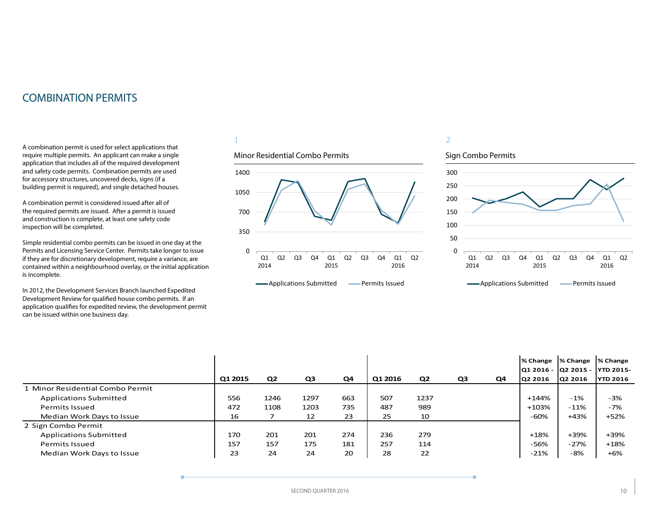## <span id="page-9-0"></span>COMBINATION PERMITS

A combination permit is used for select applications that require multiple permits. An applicant can make a single application that includes all of the required development and safety code permits. Combination permits are used for accessory structures, uncovered decks, signs (if a building permit is required), and single detached houses.

A combination permit is considered issued after all of the required permits are issued. After a permit is issued and construction is complete, at least one safety code inspection will be completed.

Simple residential combo permits can be issued in one day at the Permits and Licensing Service Center. Permits take longer to issue if they are for discretionary development, require a variance, are contained within a neighbourhood overlay, or the initial application is incomplete.

In 2012, the Development Services Branch launched Expedited Development Review for qualified house combo permits. If an application qualifies for expedited review, the development permit can be issued within one business day.

## 1

### Minor Residential Combo Permits



**-**Applications Submitted **-** Permits Issued

## 2



**-**Applications Submitted **-** Permits Issued

|                                  | Q1 2015 | Q <sub>2</sub> | Q3   | Q <sub>4</sub> | Q1 2016 | Q <sub>2</sub> | Q <sub>3</sub> | Q4 | Q2 2016 | % Change  % Change  % Change<br> Q1 2016 -  Q2 2015 -  YTD 2015-<br><b>Q2 2016</b> | <b>YTD 2016</b> |
|----------------------------------|---------|----------------|------|----------------|---------|----------------|----------------|----|---------|------------------------------------------------------------------------------------|-----------------|
| 1 Minor Residential Combo Permit |         |                |      |                |         |                |                |    |         |                                                                                    |                 |
| Applications Submitted           | 556     | 1246           | 1297 | 663            | 507     | 1237           |                |    | $+144%$ | $-1%$                                                                              | $-3%$           |
| <b>Permits Issued</b>            | 472     | 1108           | 1203 | 735            | 487     | 989            |                |    | $+103%$ | $-11%$                                                                             | $-7%$           |
| Median Work Days to Issue        | 16      |                | 12   | 23             | 25      | 10             |                |    | $-60%$  | +43%                                                                               | +52%            |
| 2 Sign Combo Permit              |         |                |      |                |         |                |                |    |         |                                                                                    |                 |
| <b>Applications Submitted</b>    | 170     | 201            | 201  | 274            | 236     | 279            |                |    | $+18%$  | +39%                                                                               | +39%            |
| <b>Permits Issued</b>            | 157     | 157            | 175  | 181            | 257     | 114            |                |    | $-56%$  | $-27%$                                                                             | $+18%$          |
| Median Work Days to Issue        | 23      | 24             | 24   | 20             | 28      | 22             |                |    | $-21%$  | -8%                                                                                | $+6%$           |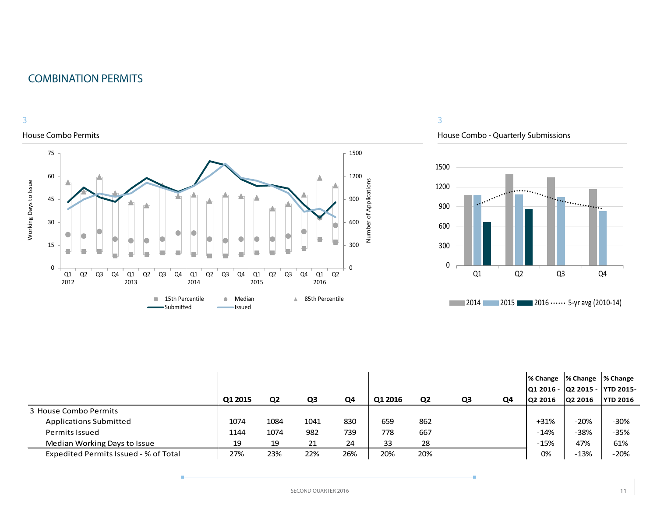## COMBINATION PERMITS



### House Combo Permits



## 3

House Combo - Quarterly Submissions



|                                       | Q1 2015 | Q <sub>2</sub> | Q3   | Q4  | Q1 2016 | Q <sub>2</sub> | Q3 | Q4 | ∣% Change<br> Q1 2016 -  Q2 2015 -<br>02 2016 | % Change  % Change<br>Q2 2016 | <b>YTD 2015-</b><br><b>YTD 2016</b> |
|---------------------------------------|---------|----------------|------|-----|---------|----------------|----|----|-----------------------------------------------|-------------------------------|-------------------------------------|
| 3 House Combo Permits                 |         |                |      |     |         |                |    |    |                                               |                               |                                     |
| <b>Applications Submitted</b>         | 1074    | 1084           | 1041 | 830 | 659     | 862            |    |    | $+31%$                                        | $-20%$                        | $-30%$                              |
| <b>Permits Issued</b>                 | 1144    | 1074           | 982  | 739 | 778     | 667            |    |    | $-14%$                                        | $-38%$                        | $-35%$                              |
| Median Working Days to Issue          | 19      | 19             | 21   | 24  | 33      | 28             |    |    | $-15%$                                        | 47%                           | 61%                                 |
| Expedited Permits Issued - % of Total | 27%     | 23%            | 22%  | 26% | 20%     | 20%            |    |    | 0%                                            | $-13%$                        | $-20%$                              |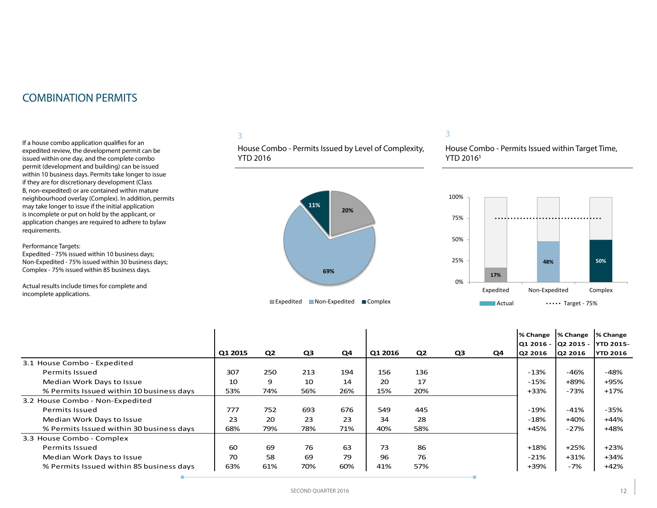## COMBINATION PERMITS

If a house combo application qualifies for an expedited review, the development permit can be issued within one day, and the complete combo permit (development and building) can be issued within 10 business days. Permits take longer to issue if they are for discretionary development (Class B, non-expedited) or are contained within mature neighbourhood overlay (Complex). In addition, permits may take longer to issue if the initial application is incomplete or put on hold by the applicant, or application changes are required to adhere to bylaw requirements.

Performance Targets:

Expedited - 75% issued within 10 business days; Non-Expedited - 75% issued within 30 business days; Complex - 75% issued within 85 business days.

Actual results include times for complete and incomplete applications.

## 3

House Combo - Permits Issued by Level of Complexity, YTD 2016



### 3

House Combo - Permits Issued within Target Time, YTD 2016<sup>5</sup>



|                                          |         |                |     |     |         |                |                |    | % Change | % Change | % Change                        |
|------------------------------------------|---------|----------------|-----|-----|---------|----------------|----------------|----|----------|----------|---------------------------------|
|                                          |         |                |     |     |         |                |                |    |          |          | Q1 2016 -  Q2 2015 -  YTD 2015- |
|                                          | Q1 2015 | Q <sub>2</sub> | Q3  | Q4  | Q1 2016 | Q <sub>2</sub> | Q <sub>3</sub> | Q4 | Q2 2016  | Q2 2016  | <b>YTD 2016</b>                 |
| 3.1 House Combo - Expedited              |         |                |     |     |         |                |                |    |          |          |                                 |
| <b>Permits Issued</b>                    | 307     | 250            | 213 | 194 | 156     | 136            |                |    | $-13%$   | -46%     | -48%                            |
| Median Work Days to Issue                | 10      | 9              | 10  | 14  | 20      | 17             |                |    | $-15%$   | +89%     | +95%                            |
| % Permits Issued within 10 business days | 53%     | 74%            | 56% | 26% | 15%     | 20%            |                |    | $+33%$   | $-73%$   | $+17%$                          |
| 3.2 House Combo - Non-Expedited          |         |                |     |     |         |                |                |    |          |          |                                 |
| <b>Permits Issued</b>                    | 777     | 752            | 693 | 676 | 549     | 445            |                |    | -19%     | $-41%$   | $-35%$                          |
| Median Work Days to Issue                | 23      | 20             | 23  | 23  | 34      | 28             |                |    | $-18%$   | $+40%$   | +44%                            |
| % Permits Issued within 30 business days | 68%     | 79%            | 78% | 71% | 40%     | 58%            |                |    | +45%     | $-27%$   | +48%                            |
| 3.3 House Combo - Complex                |         |                |     |     |         |                |                |    |          |          |                                 |
| <b>Permits Issued</b>                    | 60      | 69             | 76  | 63  | 73      | 86             |                |    | $+18%$   | $+25%$   | $+23%$                          |
| Median Work Days to Issue                | 70      | 58             | 69  | 79  | 96      | 76             |                |    | $-21%$   | $+31%$   | +34%                            |
| % Permits Issued within 85 business days | 63%     | 61%            | 70% | 60% | 41%     | 57%            |                |    | +39%     | -7%      | $+42%$                          |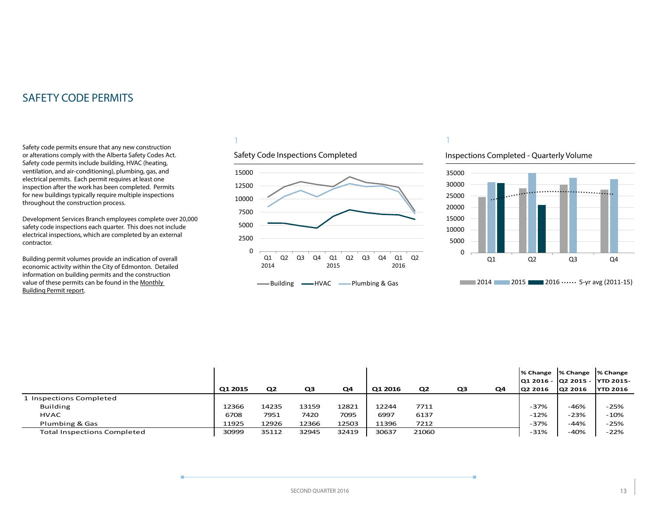<span id="page-12-0"></span>Safety code permits ensure that any new construction or alterations comply with the Alberta Safety Codes Act. Safety code permits include building, HVAC (heating, ventilation, and air-conditioning), plumbing, gas, and electrical permits. Each permit requires at least one inspection after the work has been completed. Permits for new buildings typically require multiple inspections throughout the construction process.

Development Services Branch employees complete over 20,000 safety code inspections each quarter. This does not include electrical inspections, which are completed by an external contractor.

Building permit volumes provide an indication of overall economic activity within the City of Edmonton. Detailed information on building permits and the construction value of these permits can be found in the [Monthly](http://www.edmonton.ca/buildingpermitreport)  [Building Permit report](http://www.edmonton.ca/buildingpermitreport).

## 1





1

## Inspections Completed - Quarterly Volume



|                                    |         |                |       |       |         |                |                |    |         | % Change  % Change  % Change   |                 |
|------------------------------------|---------|----------------|-------|-------|---------|----------------|----------------|----|---------|--------------------------------|-----------------|
|                                    |         |                |       |       |         |                |                |    |         | 01 2016 - 02 2015 - 1YTD 2015- |                 |
|                                    | Q1 2015 | Q <sub>2</sub> | QЗ    | Q4    | Q1 2016 | Q <sub>2</sub> | Q <sub>3</sub> | Q4 | Q2 2016 | Q2 2016                        | <b>YTD 2016</b> |
| 1 Inspections Completed            |         |                |       |       |         |                |                |    |         |                                |                 |
| <b>Building</b>                    | 12366   | 14235          | 13159 | 12821 | 12244   | 7711           |                |    | $-37%$  | $-46%$                         | $-25%$          |
| <b>HVAC</b>                        | 6708    | 7951           | 7420  | 7095  | 6997    | 6137           |                |    | $-12%$  | $-23%$                         | $-10%$          |
| Plumbing & Gas                     | 11925   | 12926          | 12366 | 12503 | 11396   | 7212           |                |    | $-37%$  | $-44%$                         | $-25%$          |
| <b>Total Inspections Completed</b> | 30999   | 35112          | 32945 | 32419 | 30637   | 21060          |                |    | $-31%$  | $-40%$                         | $-22%$          |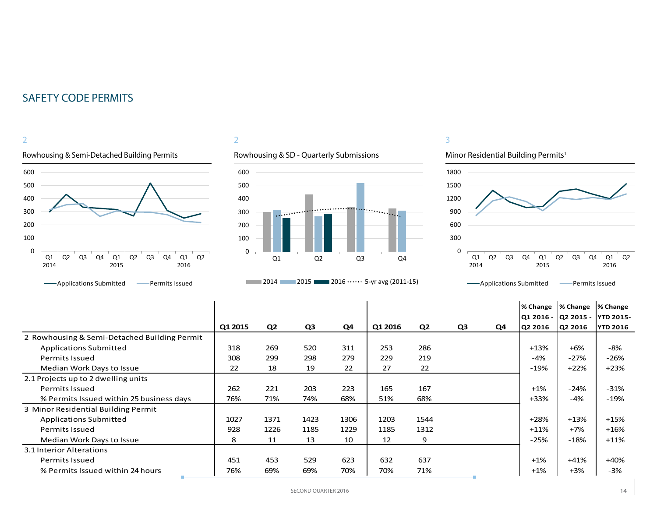

## 2



## Minor Residential Building Permits<sup>1</sup>

3



|                                              |         |                |      |      |         |                |                |    | % Change  | % Change | % Change            |
|----------------------------------------------|---------|----------------|------|------|---------|----------------|----------------|----|-----------|----------|---------------------|
|                                              |         |                |      |      |         |                |                |    | Q1 2016 - |          | Q2 2015 - YTD 2015- |
|                                              | Q1 2015 | Q <sub>2</sub> | Q3   | Q4   | Q1 2016 | Q <sub>2</sub> | Q <sub>3</sub> | Q4 | Q2 2016   | Q2 2016  | <b>YTD 2016</b>     |
| 2 Rowhousing & Semi-Detached Building Permit |         |                |      |      |         |                |                |    |           |          |                     |
| <b>Applications Submitted</b>                | 318     | 269            | 520  | 311  | 253     | 286            |                |    | $+13%$    | $+6%$    | -8%                 |
| Permits Issued                               | 308     | 299            | 298  | 279  | 229     | 219            |                |    | $-4%$     | $-27%$   | $-26%$              |
| Median Work Days to Issue                    | 22      | 18             | 19   | 22   | 27      | 22             |                |    | -19%      | $+22%$   | $+23%$              |
| 2.1 Projects up to 2 dwelling units          |         |                |      |      |         |                |                |    |           |          |                     |
| <b>Permits Issued</b>                        | 262     | 221            | 203  | 223  | 165     | 167            |                |    | $+1%$     | $-24%$   | $-31%$              |
| % Permits Issued within 25 business days     | 76%     | 71%            | 74%  | 68%  | 51%     | 68%            |                |    | $+33%$    | $-4%$    | $-19%$              |
| 3 Minor Residential Building Permit          |         |                |      |      |         |                |                |    |           |          |                     |
| <b>Applications Submitted</b>                | 1027    | 1371           | 1423 | 1306 | 1203    | 1544           |                |    | $+28%$    | $+13%$   | $+15%$              |
| <b>Permits Issued</b>                        | 928     | 1226           | 1185 | 1229 | 1185    | 1312           |                |    | $+11\%$   | $+7%$    | $+16%$              |
| Median Work Days to Issue                    | 8       | 11             | 13   | 10   | 12      | 9              |                |    | $-25%$    | $-18%$   | $+11%$              |
| 3.1 Interior Alterations                     |         |                |      |      |         |                |                |    |           |          |                     |
| <b>Permits Issued</b>                        | 451     | 453            | 529  | 623  | 632     | 637            |                |    | $+1%$     | $+41%$   | $+40%$              |
| % Permits Issued within 24 hours             | 76%     | 69%            | 69%  | 70%  | 70%     | 71%            |                |    | $+1%$     | $+3%$    | -3%                 |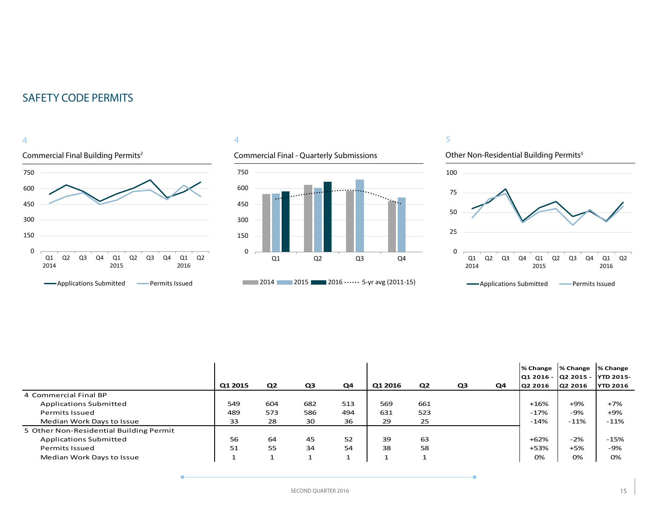### Commercial Final Building Permits2 4 0 150 300 450 600 750 Q1 2014 Q2 Q3 Q4 Q1 2015 Q2 Q3 Q4 Q1 2016 Q2 **-**Applications Submitted **-** Permits Issued

## 4

## Commercial Final - Quarterly Submissions



## 5



|                                         |         |                |                |     |         |                |                |    | % Change   % Change<br> Q1 2016 -  Q2 2015 - |         | % Change<br><b>YTD 2015-</b> |
|-----------------------------------------|---------|----------------|----------------|-----|---------|----------------|----------------|----|----------------------------------------------|---------|------------------------------|
|                                         | Q1 2015 | Q <sub>2</sub> | Q <sub>3</sub> | Q4  | Q1 2016 | Q <sub>2</sub> | Q <sub>3</sub> | Q4 | Q2 2016                                      | Q2 2016 | <b>YTD 2016</b>              |
| 4 Commercial Final BP                   |         |                |                |     |         |                |                |    |                                              |         |                              |
| <b>Applications Submitted</b>           | 549     | 604            | 682            | 513 | 569     | 661            |                |    | +16%                                         | $+9%$   | $+7%$                        |
| <b>Permits Issued</b>                   | 489     | 573            | 586            | 494 | 631     | 523            |                |    | -17%                                         | -9%     | $+9%$                        |
| Median Work Days to Issue               | 33      | 28             | 30             | 36  | 29      | 25             |                |    | $-14%$                                       | $-11\%$ | $-11\%$                      |
| 5 Other Non-Residential Building Permit |         |                |                |     |         |                |                |    |                                              |         |                              |
| <b>Applications Submitted</b>           | 56      | 64             | 45             | 52  | 39      | 63             |                |    | +62%                                         | $-2%$   | $-15%$                       |
| <b>Permits Issued</b>                   | 51      | 55             | 34             | 54  | 38      | 58             |                |    | +53%                                         | $+5%$   | -9%                          |
| Median Work Days to Issue               |         |                |                |     |         |                |                |    | 0%                                           | 0%      | 0%                           |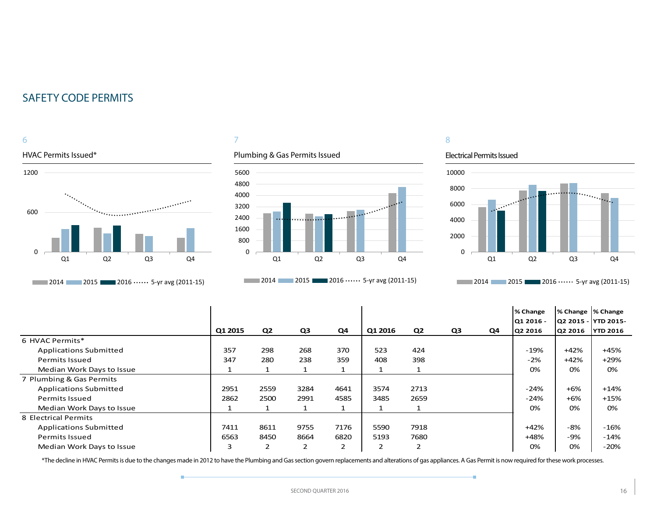6

# HVAC Permits Issued\* 1200 ..................... 600  $\Omega$ Q1 Q2 Q3 Q4 **2014** 2015 2016 0.000 2016 2017 2018 2019 2016

## 7

## Plumbing & Gas Permits Issued



**2014** 2015 2016 0.000 2016 2011-15)

## 8

### Electrical Permits Issued

ó



**2014** 2015 2016  $\cdots$  5-yr avg (2011-15)

|                               |         |                |                |      |         |                |    |    | % Change  | % Change  % Change |                      |
|-------------------------------|---------|----------------|----------------|------|---------|----------------|----|----|-----------|--------------------|----------------------|
|                               |         |                |                |      |         |                |    |    | Q1 2016 - |                    | Q2 2015 -  YTD 2015- |
|                               | Q1 2015 | Q <sub>2</sub> | Q3             | Q4   | Q1 2016 | Q <sub>2</sub> | Q3 | Q4 | Q2 2016   | Q2 2016            | <b>YTD 2016</b>      |
| 6 HVAC Permits*               |         |                |                |      |         |                |    |    |           |                    |                      |
| <b>Applications Submitted</b> | 357     | 298            | 268            | 370  | 523     | 424            |    |    | $-19%$    | $+42%$             | +45%                 |
| <b>Permits Issued</b>         | 347     | 280            | 238            | 359  | 408     | 398            |    |    | $-2%$     | $+42%$             | $+29%$               |
| Median Work Days to Issue     |         |                |                |      |         |                |    |    | 0%        | 0%                 | 0%                   |
| 7 Plumbing & Gas Permits      |         |                |                |      |         |                |    |    |           |                    |                      |
| <b>Applications Submitted</b> | 2951    | 2559           | 3284           | 4641 | 3574    | 2713           |    |    | $-24%$    | $+6%$              | $+14%$               |
| <b>Permits Issued</b>         | 2862    | 2500           | 2991           | 4585 | 3485    | 2659           |    |    | $-24%$    | $+6%$              | $+15%$               |
| Median Work Days to Issue     |         |                |                |      |         |                |    |    | 0%        | 0%                 | 0%                   |
| 8 Electrical Permits          |         |                |                |      |         |                |    |    |           |                    |                      |
| <b>Applications Submitted</b> | 7411    | 8611           | 9755           | 7176 | 5590    | 7918           |    |    | $+42%$    | -8%                | $-16%$               |
| <b>Permits Issued</b>         | 6563    | 8450           | 8664           | 6820 | 5193    | 7680           |    |    | $+48%$    | $-9%$              | -14%                 |
| Median Work Days to Issue     | 3       | $\overline{2}$ | $\overline{2}$ | 2    | 2       |                |    |    | 0%        | 0%                 | $-20%$               |

\*The decline in HVAC Permits is due to the changes made in 2012 to have the Plumbing and Gas section govern replacements and alterations of gas appliances. A Gas Permit is now required for these work processes.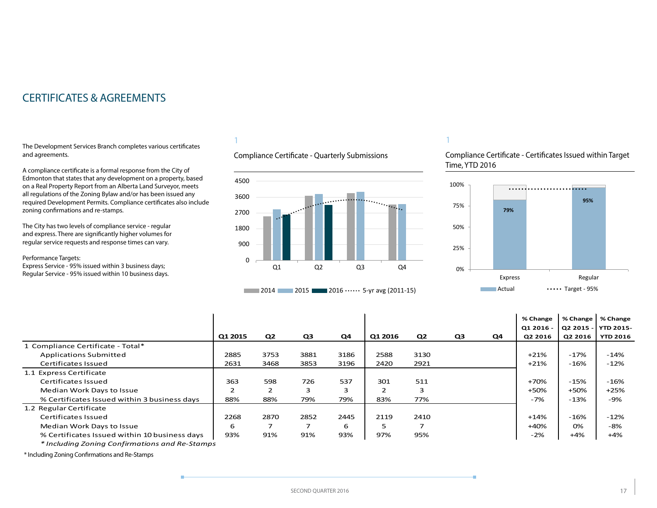## <span id="page-16-0"></span>CERTIFICATES & AGREEMENTS

The Development Services Branch completes various certificates and agreements.

A compliance certificate is a formal response from the City of Edmonton that states that any development on a property, based on a Real Property Report from an Alberta Land Surveyor, meets all regulations of the Zoning Bylaw and/or has been issued any required Development Permits. Compliance certificates also include zoning confirmations and re-stamps.

The City has two levels of compliance service - regular and express. There are significantly higher volumes for regular service requests and response times can vary.

Performance Targets:

Express Service - 95% issued within 3 business days; Regular Service - 95% issued within 10 business days.

## 1

Compliance Certificate - Quarterly Submissions





### 1

Compliance Certificate - Certificates Issued within Target Time, YTD 2016



|                                                |                |                |                |      |         |                |                |    | % Change  | % Change  | % Change         |
|------------------------------------------------|----------------|----------------|----------------|------|---------|----------------|----------------|----|-----------|-----------|------------------|
|                                                |                |                |                |      |         |                |                |    | Q1 2016 - | Q2 2015 - | <b>YTD 2015-</b> |
|                                                | Q1 2015        | Q <sub>2</sub> | Q <sub>3</sub> | Q4   | Q1 2016 | Q <sub>2</sub> | Q <sub>3</sub> | Q4 | Q2 2016   | Q2 2016   | <b>YTD 2016</b>  |
| 1 Compliance Certificate - Total*              |                |                |                |      |         |                |                |    |           |           |                  |
| <b>Applications Submitted</b>                  | 2885           | 3753           | 3881           | 3186 | 2588    | 3130           |                |    | $+21%$    | $-17%$    | $-14%$           |
| Certificates Issued                            | 2631           | 3468           | 3853           | 3196 | 2420    | 2921           |                |    | $+21%$    | $-16%$    | $-12%$           |
| 1.1 Express Certificate                        |                |                |                |      |         |                |                |    |           |           |                  |
| Certificates Issued                            | 363            | 598            | 726            | 537  | 301     | 511            |                |    | +70%      | $-15%$    | $-16%$           |
| Median Work Days to Issue                      | $\overline{2}$ | 2              | 3              | 3    |         | 3              |                |    | +50%      | +50%      | $+25%$           |
| % Certificates Issued within 3 business days   | 88%            | 88%            | 79%            | 79%  | 83%     | 77%            |                |    | $-7%$     | $-13%$    | $-9%$            |
| 1.2 Regular Certificate                        |                |                |                |      |         |                |                |    |           |           |                  |
| Certificates Issued                            | 2268           | 2870           | 2852           | 2445 | 2119    | 2410           |                |    | $+14%$    | $-16%$    | $-12%$           |
| Median Work Days to Issue                      | 6              | 7              |                | 6    | ь       | ⇁              |                |    | $+40%$    | 0%        | $-8%$            |
| % Certificates Issued within 10 business days  | 93%            | 91%            | 91%            | 93%  | 97%     | 95%            |                |    | $-2%$     | $+4%$     | $+4%$            |
| * Including Zoning Confirmations and Re-Stamps |                |                |                |      |         |                |                |    |           |           |                  |

\* Including Zoning Confirmations and Re-Stamps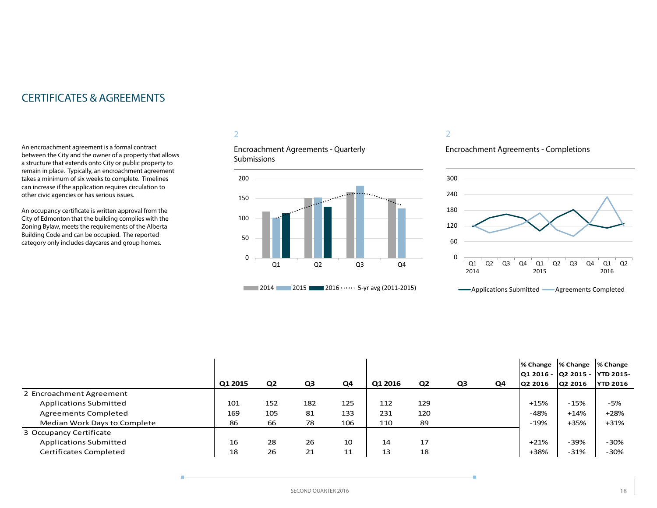## CERTIFICATES & AGREEMENTS

An encroachment agreement is a formal contract between the City and the owner of a property that allows a structure that extends onto City or public property to remain in place. Typically, an encroachment agreement takes a minimum of six weeks to complete. Timelines can increase if the application requires circulation to other civic agencies or has serious issues.

An occupancy certificate is written approval from the City of Edmonton that the building complies with the Zoning Bylaw, meets the requirements of the Alberta Building Code and can be occupied. The reported category only includes daycares and group homes.

## 2

Encroachment Agreements - Quarterly **Submissions** 



### 2

## Encroachment Agreements - Completions



| Applications Submitted | Agreements Completed |  |
|------------------------|----------------------|--|
|------------------------|----------------------|--|

|                               |         |                |     |     |         |     |    |    | % Change                      | % Change | % Change        |
|-------------------------------|---------|----------------|-----|-----|---------|-----|----|----|-------------------------------|----------|-----------------|
|                               |         |                |     |     |         |     |    |    | Q1 2016 - Q2 2015 - YTD 2015- |          |                 |
|                               | Q1 2015 | Q <sub>2</sub> | Q3  | Q4  | Q1 2016 | Q2  | Q3 | Q4 | Q2 2016                       | Q2 2016  | <b>YTD 2016</b> |
| 2 Encroachment Agreement      |         |                |     |     |         |     |    |    |                               |          |                 |
| <b>Applications Submitted</b> | 101     | 152            | 182 | 125 | 112     | 129 |    |    | $+15%$                        | $-15%$   | -5%             |
| <b>Agreements Completed</b>   | 169     | 105            | 81  | 133 | 231     | 120 |    |    | $-48%$                        | $+14%$   | $+28%$          |
| Median Work Days to Complete  | 86      | 66             | 78  | 106 | 110     | 89  |    |    | $-19%$                        | +35%     | $+31%$          |
| 3 Occupancy Certificate       |         |                |     |     |         |     |    |    |                               |          |                 |
| <b>Applications Submitted</b> | 16      | 28             | 26  | 10  | 14      | 17  |    |    | $+21%$                        | -39%     | $-30%$          |
| Certificates Completed        | 18      | 26             | 21  | 11  | 13      | 18  |    |    | +38%                          | $-31%$   | $-30%$          |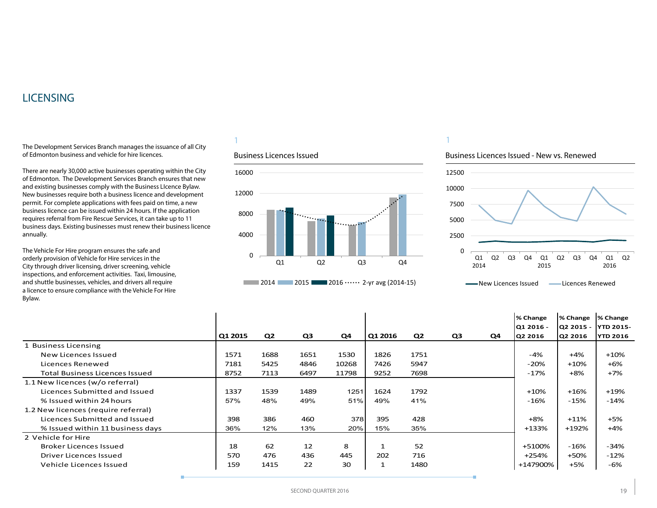## <span id="page-18-0"></span>**LICENSING**

The Development Services Branch manages the issuance of all City of Edmonton business and vehicle for hire licences.

There are nearly 30,000 active businesses operating within the City of Edmonton. The Development Services Branch ensures that new and existing businesses comply with the Business LIcence Bylaw. New businesses require both a business licence and development permit. For complete applications with fees paid on time, a new business licence can be issued within 24 hours. If the application requires referral from Fire Rescue Services, it can take up to 11 business days. Existing businesses must renew their business licence annually.

The Vehicle For Hire program ensures the safe and orderly provision of Vehicle for Hire services in the City through driver licensing, driver screening, vehicle inspections, and enforcement activities. Taxi, limousine, and shuttle businesses, vehicles, and drivers all require a licence to ensure compliance with the Vehicle For Hire Bylaw.

## 1

### Business Licences Issued



## 1

### Business Licences Issued - New vs. Renewed



**WALLET ARE ATTES ISSUED CONTRACTS ARE ARE ATTES** 

|                                       |         |                |                |       |              |      |                |    | % Change  | % Change  | % Change        |
|---------------------------------------|---------|----------------|----------------|-------|--------------|------|----------------|----|-----------|-----------|-----------------|
|                                       |         |                |                |       |              |      |                |    | Q1 2016 - | Q2 2015 - | IYTD 2015-      |
|                                       | Q1 2015 | Q <sub>2</sub> | Q <sub>3</sub> | Q4    | Q1 2016      | Q2   | Q <sub>3</sub> | Q4 | Q2 2016   | Q2 2016   | <b>YTD 2016</b> |
| 1 Business Licensing                  |         |                |                |       |              |      |                |    |           |           |                 |
| New Licences Issued                   | 1571    | 1688           | 1651           | 1530  | 1826         | 1751 |                |    | $-4%$     | $+4%$     | $+10%$          |
| Licences Renewed                      | 7181    | 5425           | 4846           | 10268 | 7426         | 5947 |                |    | $-20%$    | $+10%$    | +6%             |
| <b>Total Business Licences Issued</b> | 8752    | 7113           | 6497           | 11798 | 9252         | 7698 |                |    | $-17%$    | $+8%$     | $+7%$           |
| 1.1 New licences (w/o referral)       |         |                |                |       |              |      |                |    |           |           |                 |
| Licences Submitted and Issued         | 1337    | 1539           | 1489           | 1251  | 1624         | 1792 |                |    | $+10%$    | $+16%$    | $+19%$          |
| % Issued within 24 hours              | 57%     | 48%            | 49%            | 51%   | 49%          | 41%  |                |    | $-16%$    | $-15%$    | $-14%$          |
| 1.2 New licences (require referral)   |         |                |                |       |              |      |                |    |           |           |                 |
| Licences Submitted and Issued         | 398     | 386            | 460            | 378   | 395          | 428  |                |    | $+8%$     | $+11%$    | +5%             |
| % Issued within 11 business days      | 36%     | 12%            | 13%            | 20%   | 15%          | 35%  |                |    | $+133%$   | +192%     | $+4%$           |
| 2 Vehicle for Hire                    |         |                |                |       |              |      |                |    |           |           |                 |
| <b>Broker Licences Issued</b>         | 18      | 62             | 12             | 8     |              | 52   |                |    | +5100%    | $-16%$    | $-34%$          |
| Driver Licences Issued                | 570     | 476            | 436            | 445   | 202          | 716  |                |    | +254%     | $+50%$    | $-12%$          |
| Vehicle Licences Issued               | 159     | 1415           | 22             | 30    | $\mathbf{1}$ | 1480 |                |    | +147900%  | $+5%$     | -6%             |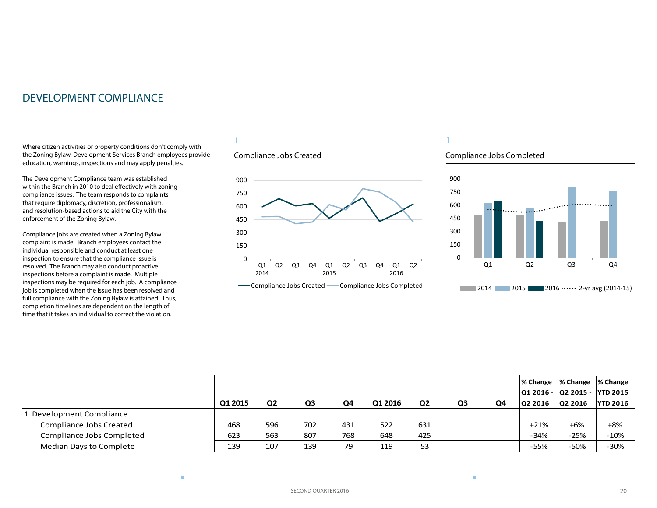## <span id="page-19-0"></span>DEVELOPMENT COMPLIANCE

Where citizen activities or property conditions don't comply with the Zoning Bylaw, Development Services Branch employees provide education, warnings, inspections and may apply penalties.

The Development Compliance team was established within the Branch in 2010 to deal effectively with zoning compliance issues. The team responds to complaints that require diplomacy, discretion, professionalism, and resolution-based actions to aid the City with the enforcement of the Zoning Bylaw.

Compliance jobs are created when a Zoning Bylaw complaint is made. Branch employees contact the individual responsible and conduct at least one inspection to ensure that the compliance issue is resolved. The Branch may also conduct proactive inspections before a complaint is made. Multiple inspections may be required for each job. A compliance job is completed when the issue has been resolved and full compliance with the Zoning Bylaw is attained. Thus, completion timelines are dependent on the length of time that it takes an individual to correct the violation.

## 1

## Compliance Jobs Created



### **Compliance Jobs Created Compliance Jobs Completed**

## 1

### Compliance Jobs Completed



|                           |         |                |                |     |         |                |    |    | % Change  % Change  % Change   |         |                 |
|---------------------------|---------|----------------|----------------|-----|---------|----------------|----|----|--------------------------------|---------|-----------------|
|                           |         |                |                |     |         |                |    |    | Q1 2016 -  Q2 2015 -  YTD 2015 |         |                 |
|                           | Q1 2015 | Q <sub>2</sub> | Q <sub>3</sub> | Q4  | Q1 2016 | Q <sub>2</sub> | Q3 | Q4 | Q2 2016                        | Q2 2016 | <b>YTD 2016</b> |
| L Development Compliance  |         |                |                |     |         |                |    |    |                                |         |                 |
| Compliance Jobs Created   | 468     | 596            | 702            | 431 | 522     | 631            |    |    | $+21%$                         | $+6%$   | $+8%$           |
| Compliance Jobs Completed | 623     | 563            | 807            | 768 | 648     | 425            |    |    | $-34%$                         | $-25%$  | $-10%$          |
| Median Days to Complete   | 139     | 107            | 139            | 79  | 119     | 53             |    |    | -55%                           | $-50%$  | $-30%$          |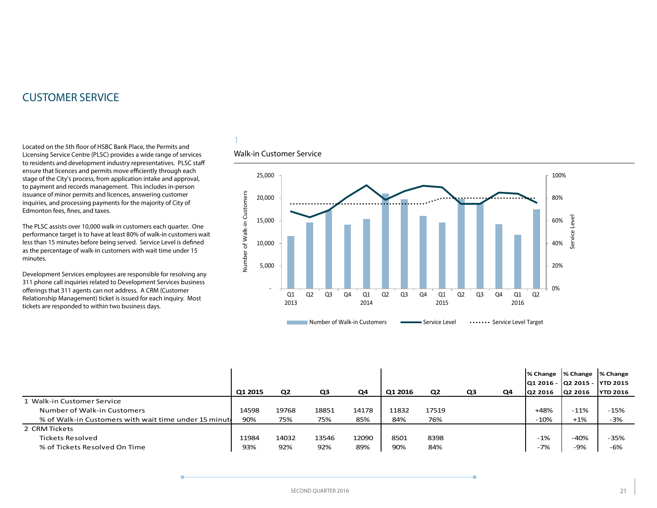## <span id="page-20-0"></span>CUSTOMER SERVICE

Located on the 5th floor of HSBC Bank Place, the Permits and Licensing Service Centre (PLSC) provides a wide range of services to residents and development industry representatives. PLSC staff ensure that licences and permits move efficiently through each stage of the City's process, from application intake and approval, to payment and records management. This includes in-person issuance of minor permits and licences, answering customer inquiries, and processing payments for the majority of City of Edmonton fees, fines, and taxes.

The PLSC assists over 10,000 walk-in customers each quarter. One performance target is to have at least 80% of walk-in customers wait less than 15 minutes before being served. Service Level is defined as the percentage of walk-in customers with wait time under 15 minutes.

Development Services employees are responsible for resolving any 311 phone call inquiries related to Development Services business offerings that 311 agents can not address. A CRM (Customer Relationship Management) ticket is issued for each inquiry. Most tickets are responded to within two business days.

## 1

## Walk-in Customer Service



|                                                       |         |                |       |       |         |                |    |    | l% Change                      | % Change  % Change |                 |
|-------------------------------------------------------|---------|----------------|-------|-------|---------|----------------|----|----|--------------------------------|--------------------|-----------------|
|                                                       |         |                |       |       |         |                |    |    | Q1 2016 -  Q2 2015 -  YTD 2015 |                    |                 |
|                                                       | Q1 2015 | Q <sub>2</sub> | Q3    | Q4    | Q1 2016 | Q <sub>2</sub> | Q3 | Q4 | <b>O2 2016</b>                 | 02 2016            | <b>YTD 2016</b> |
| 1 Walk-in Customer Service                            |         |                |       |       |         |                |    |    |                                |                    |                 |
| Number of Walk-in Customers                           | 14598   | 19768          | 18851 | 14178 | 11832   | 17519          |    |    | +48%                           | $-11%$             | $-15%$          |
| % of Walk-in Customers with wait time under 15 minute | 90%     | 75%            | 75%   | 85%   | 84%     | 76%            |    |    | $-10%$                         | $+1%$              | $-3%$           |
| 2 CRM Tickets                                         |         |                |       |       |         |                |    |    |                                |                    |                 |
| <b>Tickets Resolved</b>                               | 11984   | 14032          | 13546 | 12090 | 8501    | 8398           |    |    | $-1%$                          | $-40%$             | $-35%$          |
| % of Tickets Resolved On Time                         | 93%     | 92%            | 92%   | 89%   | 90%     | 84%            |    |    | $-7%$                          | -9%                | $-6%$           |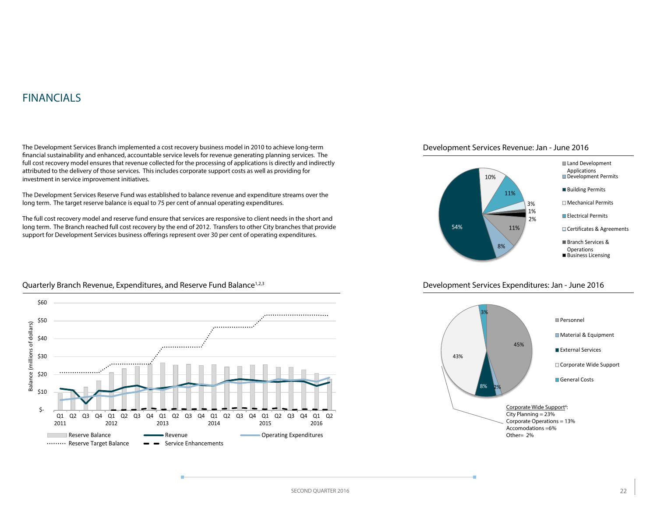## <span id="page-21-0"></span>FINANCIALS

The Development Services Branch implemented a cost recovery business model in 2010 to achieve long-term financial sustainability and enhanced, accountable service levels for revenue generating planning services. The full cost recovery model ensures that revenue collected for the processing of applications is directly and indirectly attributed to the delivery of those services. This includes corporate support costs as well as providing for investment in service improvement initiatives.

The Development Services Reserve Fund was established to balance revenue and expenditure streams over the long term. The target reserve balance is equal to 75 per cent of annual operating expenditures.

The full cost recovery model and reserve fund ensure that services are responsive to client needs in the short and long term. The Branch reached full cost recovery by the end of 2012. Transfers to other City branches that provide support for Development Services business offerings represent over 30 per cent of operating expenditures.





### Development Services Expenditures: Jan - June 2016





### Quarterly Branch Revenue, Expenditures, and Reserve Fund Balance<sup>1,2,3</sup>